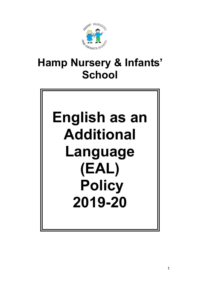

# Hamp Nursery & Infants' **School**

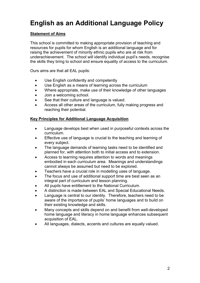# English as an Additional Language Policy

## Statement of Aims

This school is committed to making appropriate provision of teaching and resources for pupils for whom English is an additional language and for raising the achievement of minority ethnic pupils who are at risk from underachievement. The school will identify individual pupil's needs, recognise the skills they bring to school and ensure equality of access to the curriculum.

Ours aims are that all EAL pupils:

- Use English confidently and competently
- Use English as a means of learning across the curriculum
- Where appropriate, make use of their knowledge of other languages
- Join a welcoming school.
- See that their culture and language is valued.
- Access all other areas of the curriculum, fully making progress and reaching their potential.

#### Key Principles for Additional Language Acquisition

- Language develops best when used in purposeful contexts across the curriculum.
- Effective use of language is crucial to the teaching and learning of every subject.
- The language demands of learning tasks need to be identified and planned for, with attention both to initial access and to extension.
- Access to learning requires attention to words and meanings embodied in each curriculum area. Meanings and understandings cannot always be assumed but need to be explored.
- Teachers have a crucial role in modelling uses of language.
- The focus and use of additional support time are best seen as an integral part of curriculum and lesson planning.
- All pupils have entitlement to the National Curriculum.
- A distinction is made between EAL and Special Educational Needs.
- Language is central to our identity. Therefore, teachers need to be aware of the importance of pupils' home languages and to build on their existing knowledge and skills.
- Many concepts and skills depend on and benefit from well-developed home language and literacy in home language enhances subsequent acquisition of EAL.
- All languages, dialects, accents and cultures are equally valued.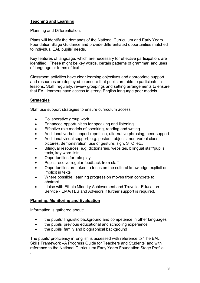### Teaching and Learning

Planning and Differentiation:

Plans will identify the demands of the National Curriculum and Early Years Foundation Stage Guidance and provide differentiated opportunities matched to individual EAL pupils' needs.

Key features of language, which are necessary for effective participation, are identified. These might be key words, certain patterns of grammar, and uses of language or forms of text.

Classroom activities have clear learning objectives and appropriate support and resources are deployed to ensure that pupils are able to participate in lessons. Staff, regularly, review groupings and setting arrangements to ensure that EAL learners have access to strong English language peer models.

#### **Strategies**

Staff use support strategies to ensure curriculum access:

- Collaborative group work
- Enhanced opportunities for speaking and listening
- **Effective role models of speaking, reading and writing**
- Additional verbal support-repetition, alternative phrasing, peer support
- Additional visual support, e.g. posters, objects, non-verbal clues, pictures, demonstration, use of gesture, sign, STC etc.
- Bilingual resources, e.g. dictionaries, websites, bilingual staff/pupils, texts, key word lists.
- Opportunities for role play
- Pupils receive regular feedback from staff
- Opportunities are taken to focus on the cultural knowledge explicit or implicit in texts
- Where possible, learning progression moves from concrete to abstract.
- Liaise with Ethnic Minority Achievement and Traveller Education Service - EMA/TES and Advisors if further support is required.

#### Planning, Monitoring and Evaluation

Information is gathered about:

.

- the pupils' linguistic background and competence in other languages
- the pupils' previous educational and schooling experience
- the pupils' family and biographical background

The pupils' proficiency in English is assessed with reference to 'The EAL Skills Framework –A Progress Guide for Teachers and Students' and with reference to the National Curriculum/ Early Years Foundation Stage Profile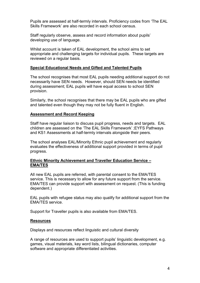Pupils are assessed at half-termly intervals. Proficiency codes from 'The EAL Skills Framework' are also recorded in each school census.

Staff regularly observe, assess and record information about pupils' developing use of language.

Whilst account is taken of EAL development, the school aims to set appropriate and challenging targets for individual pupils. These targets are reviewed on a regular basis.

#### Special Educational Needs and Gifted and Talented Pupils

The school recognises that most EAL pupils needing additional support do not necessarily have SEN needs. However, should SEN needs be identified during assessment; EAL pupils will have equal access to school SEN provision.

Similarly, the school recognises that there may be EAL pupils who are gifted and talented even though they may not be fully fluent in English.

#### Assessment and Record Keeping

Staff have regular liaison to discuss pupil progress, needs and targets. EAL children are assessed on the 'The EAL Skills Framework' ;EYFS Pathways and KS1 Assessments at half-termly intervals alongside their peers.

The school analyses EAL/Minority Ethnic pupil achievement and regularly evaluates the effectiveness of additional support provided in terms of pupil progress.

#### Ethnic Minority Achievement and Traveller Education Service – EMA/TES

All new EAL pupils are referred, with parental consent to the EMA/TES service. This is necessary to allow for any future support from the service. EMA/TES can provide support with assessment on request. (This is funding dependent.)

EAL pupils with refugee status may also qualify for additional support from the EMA/TES service.

Support for Traveller pupils is also available from EMA/TES.

#### **Resources**

Displays and resources reflect linguistic and cultural diversity

A range of resources are used to support pupils' linguistic development, e.g. games, visual materials, key word lists, bilingual dictionaries, computer software and appropriate differentiated activities.